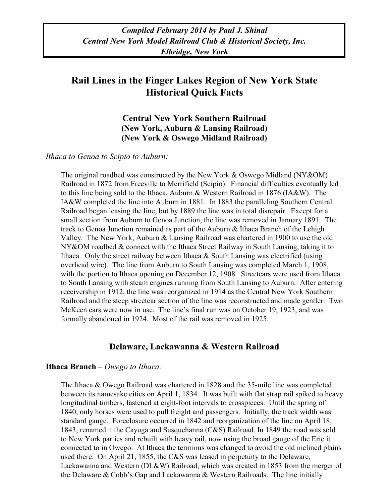# **Rail Lines in the Finger Lakes Region of New York State Historical Quick Facts**

**Central New York Southern Railroad (New York, Auburn & Lansing Railroad) (New York & Oswego Midland Railroad)**

*Ithaca to Genoa to Scipio to Auburn:*

The original roadbed was constructed by the New York & Oswego Midland (NY&OM) Railroad in 1872 from Freeville to Merrifield (Scipio). Financial difficulties eventually led to this line being sold to the Ithaca, Auburn & Western Railroad in 1876 (IA&W). The IA&W completed the line into Auburn in 1881. In 1883 the paralleling Southern Central Railroad began leasing the line, but by 1889 the line was in total disrepair. Except for a small section from Auburn to Genoa Junction, the line was removed in January 1891. The track to Genoa Junction remained as part of the Auburn & Ithaca Branch of the Lehigh Valley. The New York, Auburn & Lansing Railroad was chartered in 1900 to use the old NY & OM roadbed  $\&$  connect with the Ithaca Street Railway in South Lansing, taking it to Ithaca. Only the street railway between Ithaca  $\&$  South Lansing was electrified (using overhead wire). The line from Auburn to South Lansing was completed March 1, 1908, with the portion to Ithaca opening on December 12, 1908. Streetcars were used from Ithaca to South Lansing with steam engines running from South Lansing to Auburn. After entering receivership in 1912, the line was reorganized in 1914 as the Central New York Southern Railroad and the steep streetcar section of the line was reconstructed and made gentler. Two McKeen cars were now in use. The line's final run was on October 19, 1923, and was formally abandoned in 1924. Most of the rail was removed in 1925.

## **Delaware, Lackawanna & Western Railroad**

### **Ithaca Branch** *– Owego to Ithaca:*

The Ithaca & Owego Railroad was chartered in 1828 and the 35-mile line was completed between its namesake cities on April 1, 1834. It was built with flat strap rail spiked to heavy longitudinal timbers, fastened at eight-foot intervals to crosspieces. Until the spring of 1840, only horses were used to pull freight and passengers. Initially, the track width was standard gauge. Foreclosure occurred in 1842 and reorganization of the line on April 18, 1843, renamed it the Cayuga and Susquehanna (C&S) Railroad. In 1849 the road was sold to New York parties and rebuilt with heavy rail, now using the broad gauge of the Erie it connected to in Owego. At Ithaca the terminus was changed to avoid the old inclined plains used there. On April 21, 1855, the C&S was leased in perpetuity to the Delaware, Lackawanna and Western (DL&W) Railroad, which was created in 1853 from the merger of the Delaware & Cobb's Gap and Lackawanna & Western Railroads. The line initially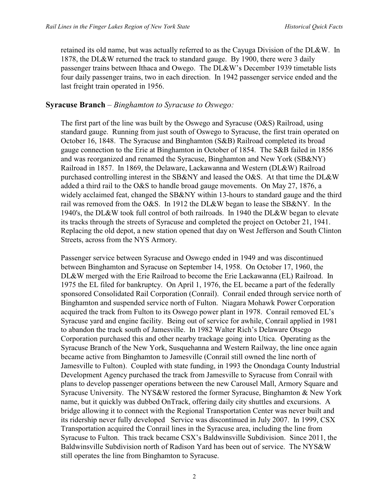retained its old name, but was actually referred to as the Cayuga Division of the DL&W. In 1878, the DL&W returned the track to standard gauge. By 1900, there were 3 daily passenger trains between Ithaca and Owego. The DL&W's December 1939 timetable lists four daily passenger trains, two in each direction. In 1942 passenger service ended and the last freight train operated in 1956.

## **Syracuse Branch** – *Binghamton to Syracuse to Oswego:*

The first part of the line was built by the Oswego and Syracuse (O&S) Railroad, using standard gauge. Running from just south of Oswego to Syracuse, the first train operated on October 16, 1848. The Syracuse and Binghamton (S&B) Railroad completed its broad gauge connection to the Erie at Binghamton in October of 1854. The S&B failed in 1856 and was reorganized and renamed the Syracuse, Binghamton and New York (SB&NY) Railroad in 1857. In 1869, the Delaware, Lackawanna and Western (DL&W) Railroad purchased controlling interest in the SB&NY and leased the O&S. At that time the DL&W added a third rail to the O&S to handle broad gauge movements. On May 27, 1876, a widely acclaimed feat, changed the SB&NY within 13-hours to standard gauge and the third rail was removed from the O&S. In 1912 the DL&W began to lease the SB&NY. In the 1940's, the DL&W took full control of both railroads. In 1940 the DL&W began to elevate its tracks through the streets of Syracuse and completed the project on October 21, 1941. Replacing the old depot, a new station opened that day on West Jefferson and South Clinton Streets, across from the NYS Armory.

Passenger service between Syracuse and Oswego ended in 1949 and was discontinued between Binghamton and Syracuse on September 14, 1958. On October 17, 1960, the DL&W merged with the Erie Railroad to become the Erie Lackawanna (EL) Railroad. In 1975 the EL filed for bankruptcy. On April 1, 1976, the EL became a part of the federally sponsored Consolidated Rail Corporation (Conrail). Conrail ended through service north of Binghamton and suspended service north of Fulton. Niagara Mohawk Power Corporation acquired the track from Fulton to its Oswego power plant in 1978. Conrail removed EL's Syracuse yard and engine facility. Being out of service for awhile, Conrail applied in 1981 to abandon the track south of Jamesville. In 1982 Walter Rich's Delaware Otsego Corporation purchased this and other nearby trackage going into Utica. Operating as the Syracuse Branch of the New York, Susquehanna and Western Railway, the line once again became active from Binghamton to Jamesville (Conrail still owned the line north of Jamesville to Fulton). Coupled with state funding, in 1993 the Onondaga County Industrial Development Agency purchased the track from Jamesville to Syracuse from Conrail with plans to develop passenger operations between the new Carousel Mall, Armory Square and Syracuse University. The NYS&W restored the former Syracuse, Binghamton & New York name, but it quickly was dubbed OnTrack, offering daily city shuttles and excursions. A bridge allowing it to connect with the Regional Transportation Center was never built and its ridership never fully developed Service was discontinued in July 2007. In 1999, CSX Transportation acquired the Conrail lines in the Syracuse area, including the line from Syracuse to Fulton. This track became CSX's Baldwinsville Subdivision. Since 2011, the Baldwinsville Subdivision north of Radison Yard has been out of service. The NYS&W still operates the line from Binghamton to Syracuse.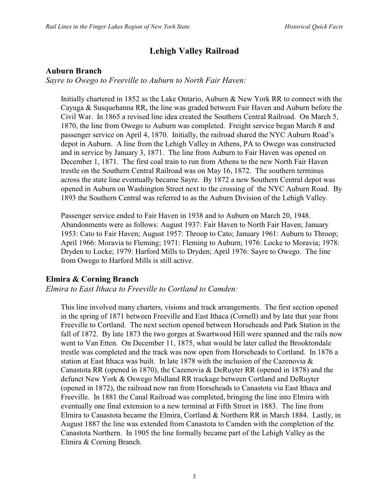## **Lehigh Valley Railroad**

## **Auburn Branch**

### *Sayre to Owego to Freeville to Auburn to North Fair Haven:*

Initially chartered in 1852 as the Lake Ontario, Auburn & New York RR to connect with the Cayuga & Susquehanna RR, the line was graded between Fair Haven and Auburn before the Civil War. In 1865 a revised line idea created the Southern Central Railroad. On March 5, 1870, the line from Owego to Auburn was completed. Freight service began March 8 and passenger service on April 4, 1870. Initially, the railroad shared the NYC Auburn Road's depot in Auburn. A line from the Lehigh Valley in Athens, PA to Owego was constructed and in service by January 3, 1871. The line from Auburn to Fair Haven was opened on December 1, 1871. The first coal train to run from Athens to the new North Fair Haven trestle on the Southern Central Railroad was on May 16, 1872. The southern terminus across the state line eventually became Sayre. By 1872 a new Southern Central depot was opened in Auburn on Washington Street next to the crossing of the NYC Auburn Road. By 1893 the Southern Central was referred to as the Auburn Division of the Lehigh Valley.

Passenger service ended to Fair Haven in 1938 and to Auburn on March 20, 1948. Abandonments were as follows: August 1937: Fair Haven to North Fair Haven; January 1953: Cato to Fair Haven; August 1957: Throop to Cato; January 1961: Auburn to Throop; April 1966: Moravia to Fleming; 1971: Fleming to Auburn; 1976: Locke to Moravia; 1978: Dryden to Locke; 1979: Harford Mills to Dryden; April 1976: Sayre to Owego. The line from Owego to Harford Mills is still active.

## **Elmira & Corning Branch**

*Elmira to East Ithaca to Freeville to Cortland to Camden:*

This line involved many charters, visions and track arrangements. The first section opened in the spring of 1871 between Freeville and East Ithaca (Cornell) and by late that year from Freeville to Cortland. The next section opened between Horseheads and Park Station in the fall of 1872. By late 1873 the two gorges at Swartwood Hill were spanned and the rails now went to Van Etten. On December 11, 1875, what would be later called the Brooktondale trestle was completed and the track was now open from Horseheads to Cortland. In 1876 a station at East Ithaca was built. In late 1878 with the inclusion of the Cazenovia  $\&$ Canastota RR (opened in 1870), the Cazenovia & DeRuyter RR (opened in 1878) and the defunct New York & Oswego Midland RR trackage between Cortland and DeRuyter (opened in 1872), the railroad now ran from Horseheads to Canastota via East Ithaca and Freeville. In 1881 the Canal Railroad was completed, bringing the line into Elmira with eventually one final extension to a new terminal at Fifth Street in 1883. The line from Elmira to Canastota became the Elmira, Cortland & Northern RR in March 1884. Lastly, in August 1887 the line was extended from Canastota to Camden with the completion of the Canastota Northern. In 1905 the line formally became part of the Lehigh Valley as the Elmira & Corning Branch.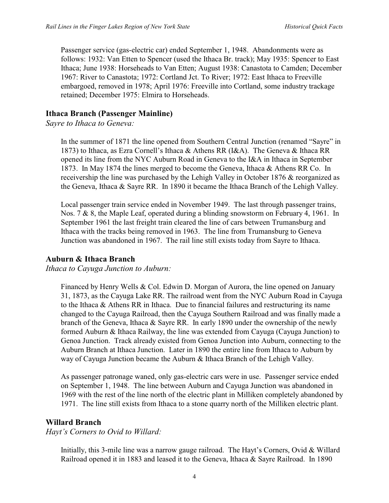Passenger service (gas-electric car) ended September 1, 1948. Abandonments were as follows: 1932: Van Etten to Spencer (used the Ithaca Br. track); May 1935: Spencer to East Ithaca; June 1938: Horseheads to Van Etten; August 1938: Canastota to Camden; December 1967: River to Canastota; 1972: Cortland Jct. To River; 1972: East Ithaca to Freeville embargoed, removed in 1978; April 1976: Freeville into Cortland, some industry trackage retained; December 1975: Elmira to Horseheads.

### **Ithaca Branch (Passenger Mainline)**

*Sayre to Ithaca to Geneva:*

In the summer of 1871 the line opened from Southern Central Junction (renamed "Sayre" in 1873) to Ithaca, as Ezra Cornell's Ithaca & Athens RR (I&A). The Geneva & Ithaca RR opened its line from the NYC Auburn Road in Geneva to the I&A in Ithaca in September 1873. In May 1874 the lines merged to become the Geneva, Ithaca & Athens RR Co. In receivership the line was purchased by the Lehigh Valley in October 1876 & reorganized as the Geneva, Ithaca & Sayre RR. In 1890 it became the Ithaca Branch of the Lehigh Valley.

Local passenger train service ended in November 1949. The last through passenger trains, Nos. 7 & 8, the Maple Leaf, operated during a blinding snowstorm on February 4, 1961. In September 1961 the last freight train cleared the line of cars between Trumansburg and Ithaca with the tracks being removed in 1963. The line from Trumansburg to Geneva Junction was abandoned in 1967. The rail line still exists today from Sayre to Ithaca.

## **Auburn & Ithaca Branch**

### *Ithaca to Cayuga Junction to Auburn:*

Financed by Henry Wells & Col. Edwin D. Morgan of Aurora, the line opened on January 31, 1873, as the Cayuga Lake RR. The railroad went from the NYC Auburn Road in Cayuga to the Ithaca & Athens RR in Ithaca. Due to financial failures and restructuring its name changed to the Cayuga Railroad, then the Cayuga Southern Railroad and was finally made a branch of the Geneva, Ithaca  $&$  Sayre RR. In early 1890 under the ownership of the newly formed Auburn & Ithaca Railway, the line was extended from Cayuga (Cayuga Junction) to Genoa Junction. Track already existed from Genoa Junction into Auburn, connecting to the Auburn Branch at Ithaca Junction. Later in 1890 the entire line from Ithaca to Auburn by way of Cayuga Junction became the Auburn & Ithaca Branch of the Lehigh Valley.

As passenger patronage waned, only gas-electric cars were in use. Passenger service ended on September 1, 1948. The line between Auburn and Cayuga Junction was abandoned in 1969 with the rest of the line north of the electric plant in Milliken completely abandoned by 1971. The line still exists from Ithaca to a stone quarry north of the Milliken electric plant.

## **Willard Branch**

*Hayt's Corners to Ovid to Willard:*

Initially, this 3-mile line was a narrow gauge railroad. The Hayt's Corners, Ovid & Willard Railroad opened it in 1883 and leased it to the Geneva, Ithaca & Sayre Railroad. In 1890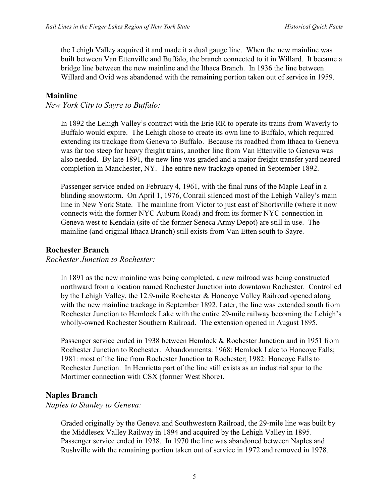the Lehigh Valley acquired it and made it a dual gauge line. When the new mainline was built between Van Ettenville and Buffalo, the branch connected to it in Willard. It became a bridge line between the new mainline and the Ithaca Branch. In 1936 the line between Willard and Ovid was abandoned with the remaining portion taken out of service in 1959.

### **Mainline**

*New York City to Sayre to Buffalo:*

In 1892 the Lehigh Valley's contract with the Erie RR to operate its trains from Waverly to Buffalo would expire. The Lehigh chose to create its own line to Buffalo, which required extending its trackage from Geneva to Buffalo. Because its roadbed from Ithaca to Geneva was far too steep for heavy freight trains, another line from Van Ettenville to Geneva was also needed. By late 1891, the new line was graded and a major freight transfer yard neared completion in Manchester, NY. The entire new trackage opened in September 1892.

Passenger service ended on February 4, 1961, with the final runs of the Maple Leaf in a blinding snowstorm. On April 1, 1976, Conrail silenced most of the Lehigh Valley's main line in New York State. The mainline from Victor to just east of Shortsville (where it now connects with the former NYC Auburn Road) and from its former NYC connection in Geneva west to Kendaia (site of the former Seneca Army Depot) are still in use. The mainline (and original Ithaca Branch) still exists from Van Etten south to Sayre.

### **Rochester Branch**

### *Rochester Junction to Rochester:*

In 1891 as the new mainline was being completed, a new railroad was being constructed northward from a location named Rochester Junction into downtown Rochester. Controlled by the Lehigh Valley, the 12.9-mile Rochester & Honeoye Valley Railroad opened along with the new mainline trackage in September 1892. Later, the line was extended south from Rochester Junction to Hemlock Lake with the entire 29-mile railway becoming the Lehigh's wholly-owned Rochester Southern Railroad. The extension opened in August 1895.

Passenger service ended in 1938 between Hemlock & Rochester Junction and in 1951 from Rochester Junction to Rochester. Abandonments: 1968: Hemlock Lake to Honeoye Falls; 1981: most of the line from Rochester Junction to Rochester; 1982: Honeoye Falls to Rochester Junction. In Henrietta part of the line still exists as an industrial spur to the Mortimer connection with CSX (former West Shore).

## **Naples Branch**

### *Naples to Stanley to Geneva:*

Graded originally by the Geneva and Southwestern Railroad, the 29-mile line was built by the Middlesex Valley Railway in 1894 and acquired by the Lehigh Valley in 1895. Passenger service ended in 1938. In 1970 the line was abandoned between Naples and Rushville with the remaining portion taken out of service in 1972 and removed in 1978.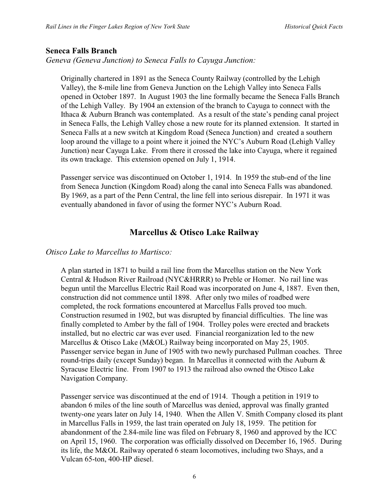### **Seneca Falls Branch**

*Geneva (Geneva Junction) to Seneca Falls to Cayuga Junction:*

Originally chartered in 1891 as the Seneca County Railway (controlled by the Lehigh Valley), the 8-mile line from Geneva Junction on the Lehigh Valley into Seneca Falls opened in October 1897. In August 1903 the line formally became the Seneca Falls Branch of the Lehigh Valley. By 1904 an extension of the branch to Cayuga to connect with the Ithaca & Auburn Branch was contemplated. As a result of the state's pending canal project in Seneca Falls, the Lehigh Valley chose a new route for its planned extension. It started in Seneca Falls at a new switch at Kingdom Road (Seneca Junction) and created a southern loop around the village to a point where it joined the NYC's Auburn Road (Lehigh Valley Junction) near Cayuga Lake. From there it crossed the lake into Cayuga, where it regained its own trackage. This extension opened on July 1, 1914.

Passenger service was discontinued on October 1, 1914. In 1959 the stub-end of the line from Seneca Junction (Kingdom Road) along the canal into Seneca Falls was abandoned. By 1969, as a part of the Penn Central, the line fell into serious disrepair. In 1971 it was eventually abandoned in favor of using the former NYC's Auburn Road.

## **Marcellus & Otisco Lake Railway**

### *Otisco Lake to Marcellus to Martisco:*

A plan started in 1871 to build a rail line from the Marcellus station on the New York Central & Hudson River Railroad (NYC&HRRR) to Preble or Homer. No rail line was begun until the Marcellus Electric Rail Road was incorporated on June 4, 1887. Even then, construction did not commence until 1898. After only two miles of roadbed were completed, the rock formations encountered at Marcellus Falls proved too much. Construction resumed in 1902, but was disrupted by financial difficulties. The line was finally completed to Amber by the fall of 1904. Trolley poles were erected and brackets installed, but no electric car was ever used. Financial reorganization led to the new Marcellus & Otisco Lake (M&OL) Railway being incorporated on May 25, 1905. Passenger service began in June of 1905 with two newly purchased Pullman coaches. Three round-trips daily (except Sunday) began. In Marcellus it connected with the Auburn  $\&$ Syracuse Electric line. From 1907 to 1913 the railroad also owned the Otisco Lake Navigation Company.

Passenger service was discontinued at the end of 1914. Though a petition in 1919 to abandon 6 miles of the line south of Marcellus was denied, approval was finally granted twenty-one years later on July 14, 1940. When the Allen V. Smith Company closed its plant in Marcellus Falls in 1959, the last train operated on July 18, 1959. The petition for abandonment of the 2.84-mile line was filed on February 8, 1960 and approved by the ICC on April 15, 1960. The corporation was officially dissolved on December 16, 1965. During its life, the M&OL Railway operated 6 steam locomotives, including two Shays, and a Vulcan 65-ton, 400-HP diesel.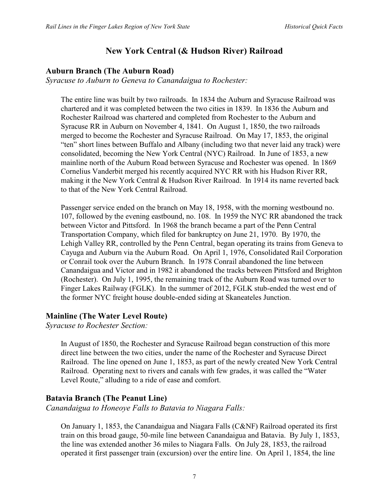## **New York Central (& Hudson River) Railroad**

## **Auburn Branch (The Auburn Road)**

*Syracuse to Auburn to Geneva to Canandaigua to Rochester:*

The entire line was built by two railroads. In 1834 the Auburn and Syracuse Railroad was chartered and it was completed between the two cities in 1839. In 1836 the Auburn and Rochester Railroad was chartered and completed from Rochester to the Auburn and Syracuse RR in Auburn on November 4, 1841. On August 1, 1850, the two railroads merged to become the Rochester and Syracuse Railroad. On May 17, 1853, the original "ten" short lines between Buffalo and Albany (including two that never laid any track) were consolidated, becoming the New York Central (NYC) Railroad. In June of 1853, a new mainline north of the Auburn Road between Syracuse and Rochester was opened. In 1869 Cornelius Vanderbit merged his recently acquired NYC RR with his Hudson River RR, making it the New York Central & Hudson River Railroad. In 1914 its name reverted back to that of the New York Central Railroad.

Passenger service ended on the branch on May 18, 1958, with the morning westbound no. 107, followed by the evening eastbound, no. 108. In 1959 the NYC RR abandoned the track between Victor and Pittsford. In 1968 the branch became a part of the Penn Central Transportation Company, which filed for bankruptcy on June 21, 1970. By 1970, the Lehigh Valley RR, controlled by the Penn Central, began operating its trains from Geneva to Cayuga and Auburn via the Auburn Road. On April 1, 1976, Consolidated Rail Corporation or Conrail took over the Auburn Branch. In 1978 Conrail abandoned the line between Canandaigua and Victor and in 1982 it abandoned the tracks between Pittsford and Brighton (Rochester). On July 1, 1995, the remaining track of the Auburn Road was turned over to Finger Lakes Railway (FGLK). In the summer of 2012, FGLK stub-ended the west end of the former NYC freight house double-ended siding at Skaneateles Junction.

## **Mainline (The Water Level Route)**

*Syracuse to Rochester Section:*

In August of 1850, the Rochester and Syracuse Railroad began construction of this more direct line between the two cities, under the name of the Rochester and Syracuse Direct Railroad. The line opened on June 1, 1853, as part of the newly created New York Central Railroad. Operating next to rivers and canals with few grades, it was called the "Water Level Route," alluding to a ride of ease and comfort.

## **Batavia Branch (The Peanut Line)**

*Canandaigua to Honeoye Falls to Batavia to Niagara Falls:*

On January 1, 1853, the Canandaigua and Niagara Falls (C&NF) Railroad operated its first train on this broad gauge, 50-mile line between Canandaigua and Batavia. By July 1, 1853, the line was extended another 36 miles to Niagara Falls. On July 28, 1853, the railroad operated it first passenger train (excursion) over the entire line. On April 1, 1854, the line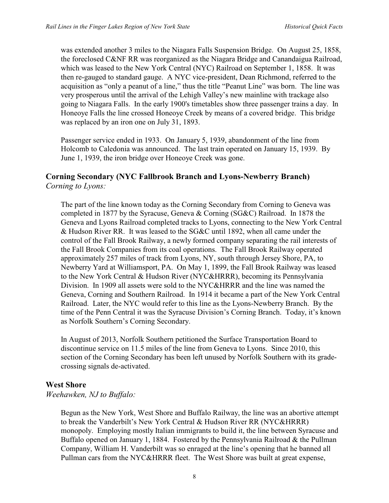was extended another 3 miles to the Niagara Falls Suspension Bridge. On August 25, 1858, the foreclosed C&NF RR was reorganized as the Niagara Bridge and Canandaigua Railroad, which was leased to the New York Central (NYC) Railroad on September 1, 1858. It was then re-gauged to standard gauge. A NYC vice-president, Dean Richmond, referred to the acquisition as "only a peanut of a line," thus the title "Peanut Line" was born. The line was very prosperous until the arrival of the Lehigh Valley's new mainline with trackage also going to Niagara Falls. In the early 1900's timetables show three passenger trains a day. In Honeoye Falls the line crossed Honeoye Creek by means of a covered bridge. This bridge was replaced by an iron one on July 31, 1893.

Passenger service ended in 1933. On January 5, 1939, abandonment of the line from Holcomb to Caledonia was announced. The last train operated on January 15, 1939. By June 1, 1939, the iron bridge over Honeoye Creek was gone.

### **Corning Secondary (NYC Fallbrook Branch and Lyons-Newberry Branch)** *Corning to Lyons:*

The part of the line known today as the Corning Secondary from Corning to Geneva was completed in 1877 by the Syracuse, Geneva & Corning (SG&C) Railroad. In 1878 the Geneva and Lyons Railroad completed tracks to Lyons, connecting to the New York Central & Hudson River RR. It was leased to the SG&C until 1892, when all came under the control of the Fall Brook Railway, a newly formed company separating the rail interests of the Fall Brook Companies from its coal operations. The Fall Brook Railway operated approximately 257 miles of track from Lyons, NY, south through Jersey Shore, PA, to Newberry Yard at Williamsport, PA. On May 1, 1899, the Fall Brook Railway was leased to the New York Central & Hudson River (NYC&HRRR), becoming its Pennsylvania Division. In 1909 all assets were sold to the NYC&HRRR and the line was named the Geneva, Corning and Southern Railroad. In 1914 it became a part of the New York Central Railroad. Later, the NYC would refer to this line as the Lyons-Newberry Branch. By the time of the Penn Central it was the Syracuse Division's Corning Branch. Today, it's known as Norfolk Southern's Corning Secondary.

In August of 2013, Norfolk Southern petitioned the Surface Transportation Board to discontinue service on 11.5 miles of the line from Geneva to Lyons. Since 2010, this section of the Corning Secondary has been left unused by Norfolk Southern with its gradecrossing signals de-activated.

## **West Shore**

### *Weehawken, NJ to Buffalo:*

Begun as the New York, West Shore and Buffalo Railway, the line was an abortive attempt to break the Vanderbilt's New York Central & Hudson River RR (NYC&HRRR) monopoly. Employing mostly Italian immigrants to build it, the line between Syracuse and Buffalo opened on January 1, 1884. Fostered by the Pennsylvania Railroad & the Pullman Company, William H. Vanderbilt was so enraged at the line's opening that he banned all Pullman cars from the NYC&HRRR fleet. The West Shore was built at great expense,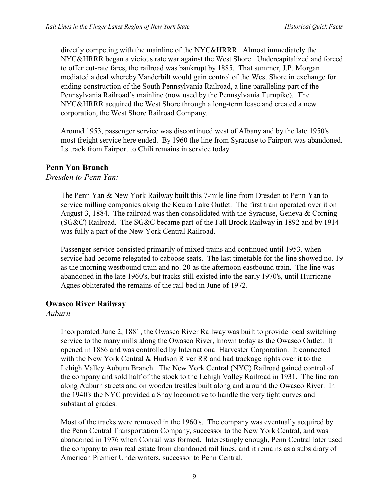directly competing with the mainline of the NYC&HRRR. Almost immediately the NYC&HRRR began a vicious rate war against the West Shore. Undercapitalized and forced to offer cut-rate fares, the railroad was bankrupt by 1885. That summer, J.P. Morgan mediated a deal whereby Vanderbilt would gain control of the West Shore in exchange for ending construction of the South Pennsylvania Railroad, a line paralleling part of the Pennsylvania Railroad's mainline (now used by the Pennsylvania Turnpike). The NYC&HRRR acquired the West Shore through a long-term lease and created a new corporation, the West Shore Railroad Company.

Around 1953, passenger service was discontinued west of Albany and by the late 1950's most freight service here ended. By 1960 the line from Syracuse to Fairport was abandoned. Its track from Fairport to Chili remains in service today.

### **Penn Yan Branch**

*Dresden to Penn Yan:*

The Penn Yan & New York Railway built this 7-mile line from Dresden to Penn Yan to service milling companies along the Keuka Lake Outlet. The first train operated over it on August 3, 1884. The railroad was then consolidated with the Syracuse, Geneva & Corning (SG&C) Railroad. The SG&C became part of the Fall Brook Railway in 1892 and by 1914 was fully a part of the New York Central Railroad.

Passenger service consisted primarily of mixed trains and continued until 1953, when service had become relegated to caboose seats. The last timetable for the line showed no. 19 as the morning westbound train and no. 20 as the afternoon eastbound train. The line was abandoned in the late 1960's, but tracks still existed into the early 1970's, until Hurricane Agnes obliterated the remains of the rail-bed in June of 1972.

## **Owasco River Railway**

### *Auburn*

Incorporated June 2, 1881, the Owasco River Railway was built to provide local switching service to the many mills along the Owasco River, known today as the Owasco Outlet. It opened in 1886 and was controlled by International Harvester Corporation. It connected with the New York Central & Hudson River RR and had trackage rights over it to the Lehigh Valley Auburn Branch. The New York Central (NYC) Railroad gained control of the company and sold half of the stock to the Lehigh Valley Railroad in 1931. The line ran along Auburn streets and on wooden trestles built along and around the Owasco River. In the 1940's the NYC provided a Shay locomotive to handle the very tight curves and substantial grades.

Most of the tracks were removed in the 1960's. The company was eventually acquired by the Penn Central Transportation Company, successor to the New York Central, and was abandoned in 1976 when Conrail was formed. Interestingly enough, Penn Central later used the company to own real estate from abandoned rail lines, and it remains as a subsidiary of American Premier Underwriters, successor to Penn Central.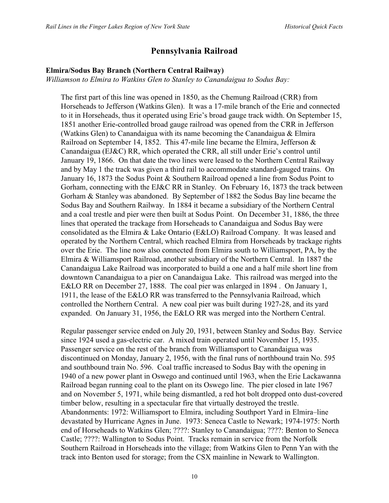## **Pennsylvania Railroad**

#### **Elmira/Sodus Bay Branch (Northern Central Railway)**

*Williamson to Elmira to Watkins Glen to Stanley to Canandaigua to Sodus Bay:*

The first part of this line was opened in 1850, as the Chemung Railroad (CRR) from Horseheads to Jefferson (Watkins Glen). It was a 17-mile branch of the Erie and connected to it in Horseheads, thus it operated using Erie's broad gauge track width. On September 15, 1851 another Erie-controlled broad gauge railroad was opened from the CRR in Jefferson (Watkins Glen) to Canandaigua with its name becoming the Canandaigua  $\&$  Elmira Railroad on September 14, 1852. This 47-mile line became the Elmira, Jefferson  $\&$ Canandaigua (EJ&C) RR, which operated the CRR, all still under Erie's control until January 19, 1866. On that date the two lines were leased to the Northern Central Railway and by May 1 the track was given a third rail to accommodate standard-gauged trains. On January 16, 1873 the Sodus Point & Southern Railroad opened a line from Sodus Point to Gorham, connecting with the EJ&C RR in Stanley. On February 16, 1873 the track between Gorham & Stanley was abandoned. By September of 1882 the Sodus Bay line became the Sodus Bay and Southern Railway. In 1884 it became a subsidiary of the Northern Central and a coal trestle and pier were then built at Sodus Point. On December 31, 1886, the three lines that operated the trackage from Horseheads to Canandaigua and Sodus Bay were consolidated as the Elmira & Lake Ontario (E&LO) Railroad Company. It was leased and operated by the Northern Central, which reached Elmira from Horseheads by trackage rights over the Erie. The line now also connected from Elmira south to Williamsport, PA, by the Elmira & Williamsport Railroad, another subsidiary of the Northern Central. In 1887 the Canandaigua Lake Railroad was incorporated to build a one and a half mile short line from downtown Canandaigua to a pier on Canandaigua Lake. This railroad was merged into the E&LO RR on December 27, 1888. The coal pier was enlarged in 1894 . On January 1, 1911, the lease of the E&LO RR was transferred to the Pennsylvania Railroad, which controlled the Northern Central. A new coal pier was built during 1927-28, and its yard expanded. On January 31, 1956, the E&LO RR was merged into the Northern Central.

Regular passenger service ended on July 20, 1931, between Stanley and Sodus Bay. Service since 1924 used a gas-electric car. A mixed train operated until November 15, 1935. Passenger service on the rest of the branch from Williamsport to Canandaigua was discontinued on Monday, January 2, 1956, with the final runs of northbound train No. 595 and southbound train No. 596. Coal traffic increased to Sodus Bay with the opening in 1940 of a new power plant in Oswego and continued until 1963, when the Erie Lackawanna Railroad began running coal to the plant on its Oswego line. The pier closed in late 1967 and on November 5, 1971, while being dismantled, a red hot bolt dropped onto dust-covered timber below, resulting in a spectacular fire that virtually destroyed the trestle. Abandonments: 1972: Williamsport to Elmira, including Southport Yard in Elmira–line devastated by Hurricane Agnes in June. 1973: Seneca Castle to Newark; 1974-1975: North end of Horseheads to Watkins Glen; ????: Stanley to Canandaigua; ????: Benton to Seneca Castle; ????: Wallington to Sodus Point. Tracks remain in service from the Norfolk Southern Railroad in Horseheads into the village; from Watkins Glen to Penn Yan with the track into Benton used for storage; from the CSX mainline in Newark to Wallington.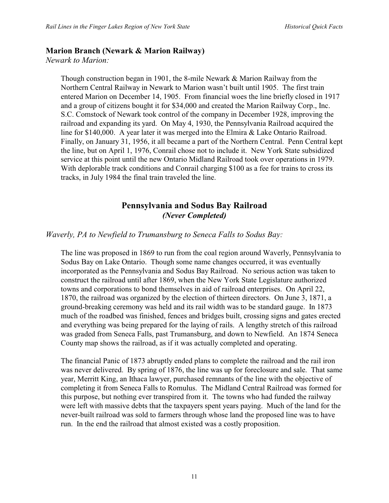## **Marion Branch (Newark & Marion Railway)**

*Newark to Marion:*

Though construction began in 1901, the 8-mile Newark & Marion Railway from the Northern Central Railway in Newark to Marion wasn't built until 1905. The first train entered Marion on December 14, 1905. From financial woes the line briefly closed in 1917 and a group of citizens bought it for \$34,000 and created the Marion Railway Corp., Inc. S.C. Comstock of Newark took control of the company in December 1928, improving the railroad and expanding its yard. On May 4, 1930, the Pennsylvania Railroad acquired the line for \$140,000. A year later it was merged into the Elmira & Lake Ontario Railroad. Finally, on January 31, 1956, it all became a part of the Northern Central. Penn Central kept the line, but on April 1, 1976, Conrail chose not to include it. New York State subsidized service at this point until the new Ontario Midland Railroad took over operations in 1979. With deplorable track conditions and Conrail charging \$100 as a fee for trains to cross its tracks, in July 1984 the final train traveled the line.

## **Pennsylvania and Sodus Bay Railroad** *(Never Completed)*

### *Waverly, PA to Newfield to Trumansburg to Seneca Falls to Sodus Bay:*

The line was proposed in 1869 to run from the coal region around Waverly, Pennsylvania to Sodus Bay on Lake Ontario. Though some name changes occurred, it was eventually incorporated as the Pennsylvania and Sodus Bay Railroad. No serious action was taken to construct the railroad until after 1869, when the New York State Legislature authorized towns and corporations to bond themselves in aid of railroad enterprises. On April 22, 1870, the railroad was organized by the election of thirteen directors. On June 3, 1871, a ground-breaking ceremony was held and its rail width was to be standard gauge. In 1873 much of the roadbed was finished, fences and bridges built, crossing signs and gates erected and everything was being prepared for the laying of rails. A lengthy stretch of this railroad was graded from Seneca Falls, past Trumansburg, and down to Newfield. An 1874 Seneca County map shows the railroad, as if it was actually completed and operating.

The financial Panic of 1873 abruptly ended plans to complete the railroad and the rail iron was never delivered. By spring of 1876, the line was up for foreclosure and sale. That same year, Merritt King, an Ithaca lawyer, purchased remnants of the line with the objective of completing it from Seneca Falls to Romulus. The Midland Central Railroad was formed for this purpose, but nothing ever transpired from it. The towns who had funded the railway were left with massive debts that the taxpayers spent years paying. Much of the land for the never-built railroad was sold to farmers through whose land the proposed line was to have run. In the end the railroad that almost existed was a costly proposition.